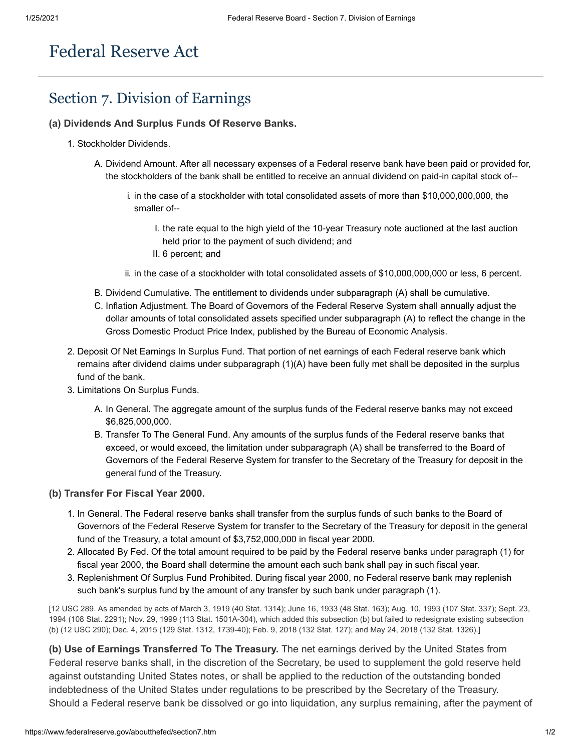# Federal Reserve Act

## Section 7. Division of Earnings

### **(a) Dividends And Surplus Funds Of Reserve Banks.**

- 1. Stockholder Dividends.
	- A. Dividend Amount. After all necessary expenses of a Federal reserve bank have been paid or provided for, the stockholders of the bank shall be entitled to receive an annual dividend on paid-in capital stock of-
		- i. in the case of a stockholder with total consolidated assets of more than \$10,000,000,000, the smaller of--
			- I. the rate equal to the high yield of the 10-year Treasury note auctioned at the last auction held prior to the payment of such dividend; and
			- II. 6 percent; and
		- ii. in the case of a stockholder with total consolidated assets of \$10,000,000,000 or less, 6 percent.
	- B. Dividend Cumulative. The entitlement to dividends under subparagraph (A) shall be cumulative.
	- C. Inflation Adjustment. The Board of Governors of the Federal Reserve System shall annually adjust the dollar amounts of total consolidated assets specified under subparagraph (A) to reflect the change in the Gross Domestic Product Price Index, published by the Bureau of Economic Analysis.
- 2. Deposit Of Net Earnings In Surplus Fund. That portion of net earnings of each Federal reserve bank which remains after dividend claims under subparagraph (1)(A) have been fully met shall be deposited in the surplus fund of the bank.
- 3. Limitations On Surplus Funds.
	- A. In General. The aggregate amount of the surplus funds of the Federal reserve banks may not exceed \$6,825,000,000.
	- B. Transfer To The General Fund. Any amounts of the surplus funds of the Federal reserve banks that exceed, or would exceed, the limitation under subparagraph (A) shall be transferred to the Board of Governors of the Federal Reserve System for transfer to the Secretary of the Treasury for deposit in the general fund of the Treasury.

#### **(b) Transfer For Fiscal Year 2000.**

- 1. In General. The Federal reserve banks shall transfer from the surplus funds of such banks to the Board of Governors of the Federal Reserve System for transfer to the Secretary of the Treasury for deposit in the general fund of the Treasury, a total amount of \$3,752,000,000 in fiscal year 2000.
- 2. Allocated By Fed. Of the total amount required to be paid by the Federal reserve banks under paragraph (1) for fiscal year 2000, the Board shall determine the amount each such bank shall pay in such fiscal year.
- 3. Replenishment Of Surplus Fund Prohibited. During fiscal year 2000, no Federal reserve bank may replenish such bank's surplus fund by the amount of any transfer by such bank under paragraph (1).

[12 USC 289. As amended by acts of March 3, 1919 (40 Stat. 1314); June 16, 1933 (48 Stat. 163); Aug. 10, 1993 (107 Stat. 337); Sept. 23, 1994 (108 Stat. 2291); Nov. 29, 1999 (113 Stat. 1501A-304), which added this subsection (b) but failed to redesignate existing subsection (b) (12 USC 290); Dec. 4, 2015 (129 Stat. 1312, 1739-40); Feb. 9, 2018 (132 Stat. 127); and May 24, 2018 (132 Stat. 1326).]

**(b) Use of Earnings Transferred To The Treasury.** The net earnings derived by the United States from Federal reserve banks shall, in the discretion of the Secretary, be used to supplement the gold reserve held against outstanding United States notes, or shall be applied to the reduction of the outstanding bonded indebtedness of the United States under regulations to be prescribed by the Secretary of the Treasury. Should a Federal reserve bank be dissolved or go into liquidation, any surplus remaining, after the payment of